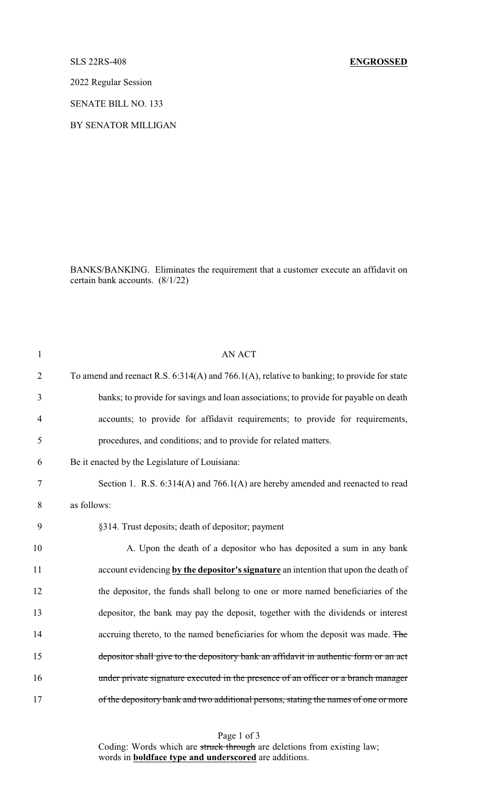## SLS 22RS-408 **ENGROSSED**

2022 Regular Session

SENATE BILL NO. 133

BY SENATOR MILLIGAN

BANKS/BANKING. Eliminates the requirement that a customer execute an affidavit on certain bank accounts. (8/1/22)

| $\mathbf{1}$   | <b>AN ACT</b>                                                                              |  |  |
|----------------|--------------------------------------------------------------------------------------------|--|--|
| $\overline{2}$ | To amend and reenact R.S. 6:314(A) and 766.1(A), relative to banking; to provide for state |  |  |
| 3              | banks; to provide for savings and loan associations; to provide for payable on death       |  |  |
| $\overline{4}$ | accounts; to provide for affidavit requirements; to provide for requirements,              |  |  |
| 5              | procedures, and conditions; and to provide for related matters.                            |  |  |
| 6              | Be it enacted by the Legislature of Louisiana:                                             |  |  |
| 7              | Section 1. R.S. 6:314(A) and 766.1(A) are hereby amended and reenacted to read             |  |  |
| 8              | as follows:                                                                                |  |  |
| 9              | §314. Trust deposits; death of depositor; payment                                          |  |  |
| 10             | A. Upon the death of a depositor who has deposited a sum in any bank                       |  |  |
| 11             | account evidencing by the depositor's signature an intention that upon the death of        |  |  |
| 12             | the depositor, the funds shall belong to one or more named beneficiaries of the            |  |  |
| 13             | depositor, the bank may pay the deposit, together with the dividends or interest           |  |  |
| 14             | accruing thereto, to the named beneficiaries for whom the deposit was made. The            |  |  |
| 15             | depositor shall give to the depository bank an affidavit in authentic form or an act       |  |  |
| 16             | under private signature executed in the presence of an officer or a branch manager         |  |  |
| 17             | of the depository bank and two additional persons, stating the names of one or more        |  |  |
|                |                                                                                            |  |  |

Page 1 of 3

Coding: Words which are struck through are deletions from existing law; words in **boldface type and underscored** are additions.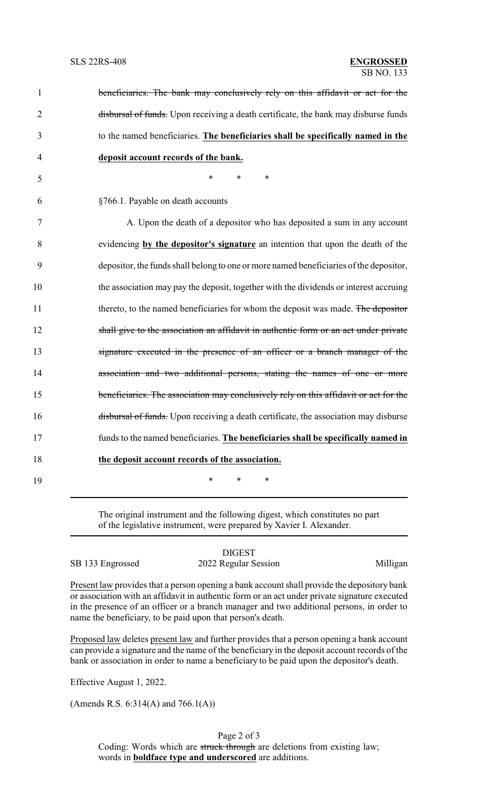| $\mathbf{1}$   | beneficiaries. The bank may conclusively rely on this affidavit or act for the         |
|----------------|----------------------------------------------------------------------------------------|
| $\overline{2}$ | disbursal of funds. Upon receiving a death certificate, the bank may disburse funds    |
| 3              | to the named beneficiaries. The beneficiaries shall be specifically named in the       |
| 4              | deposit account records of the bank.                                                   |
| 5              | *<br>*<br>∗                                                                            |
| 6              | §766.1. Payable on death accounts                                                      |
| 7              | A. Upon the death of a depositor who has deposited a sum in any account                |
| 8              | evidencing by the depositor's signature an intention that upon the death of the        |
| 9              | depositor, the funds shall belong to one or more named beneficiaries of the depositor, |
| 10             | the association may pay the deposit, together with the dividends or interest accruing  |
| 11             | thereto, to the named beneficiaries for whom the deposit was made. The depositor       |
| 12             | shall give to the association an affidavit in authentic form or an act under private   |
| 13             | signature executed in the presence of an officer or a branch manager of the            |
| 14             | association and two additional persons, stating the names of one or more               |
| 15             | beneficiaries. The association may conclusively rely on this affidavit or act for the  |
| 16             | disbursal of funds. Upon receiving a death certificate, the association may disburse   |
| 17             | funds to the named beneficiaries. The beneficiaries shall be specifically named in     |
| 18             | the deposit account records of the association.                                        |
| 19             | *<br>*<br>*                                                                            |
|                |                                                                                        |

The original instrument and the following digest, which constitutes no part of the legislative instrument, were prepared by Xavier I. Alexander.

|                  | <b>DIGEST</b>        |          |
|------------------|----------------------|----------|
| SB 133 Engrossed | 2022 Regular Session | Milligan |

Present law provides that a person opening a bank account shall provide the depository bank or association with an affidavit in authentic form or an act under private signature executed in the presence of an officer or a branch manager and two additional persons, in order to name the beneficiary, to be paid upon that person's death.

Proposed law deletes present law and further provides that a person opening a bank account can provide a signature and the name of the beneficiary in the deposit account records of the bank or association in order to name a beneficiary to be paid upon the depositor's death.

Effective August 1, 2022.

(Amends R.S. 6:314(A) and 766.1(A))

Page 2 of 3 Coding: Words which are struck through are deletions from existing law; words in **boldface type and underscored** are additions.